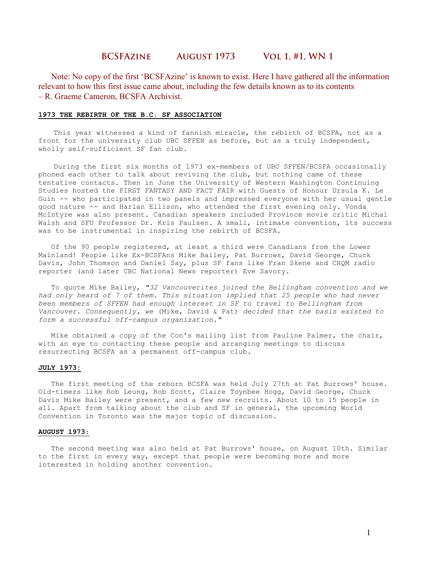# **BCSFAzine August 1973 Vol 1, #1, WN 1**

 Note: No copy of the first 'BCSFAzine' is known to exist. Here I have gathered all the information relevant to how this first issue came about, including the few details known as to its contents – R. Graeme Cameron, BCSFA Archivist.

#### 1973 THE REBIRTH OF THE B.C. SF ASSOCIATION

 This year witnessed a kind of fannish miracle, the rebirth of BCSFA, not as a front for the university club UBC SFFEN as before, but as a truly independent, wholly self-sufficient SF fan club.

 During the first six months of 1973 ex-members of UBC SFFEN/BCSFA occasionally phoned each other to talk about reviving the club, but nothing came of these tentative contacts. Then in June the University of Western Washington Continuing Studies hosted the FIRST FANTASY AND FACT FAIR with Guests of Honour Ursula K. Le Guin -- who participated in two panels and impressed everyone with her usual gentle good nature -- and Harlan Ellison, who attended the first evening only. Vonda McIntyre was also present. Canadian speakers included Province movie critic Michal Walsh and SFU Professor Dr. Kris Paulsen. A small, intimate convention, its success was to be instrumental in inspiring the rebirth of BCSFA.

 Of the 90 people registered, at least a third were Canadians from the Lower Mainland! People like Ex-BCSFAns Mike Bailey, Pat Burrows, David George, Chuck Davis, John Thomson and Daniel Say, plus SF fans like Fran Skene and CHQM radio reporter (and later CBC National News reporter) Eve Savory.

 To quote Mike Bailey, "32 Vancouverites joined the Bellingham convention and we had only heard of 7 of them. This situation implied that 25 people who had never been members of SFFEN had enough interest in SF to travel to Bellingham from Vancouver. Consequently, we (Mike, David & Pat) decided that the basis existed to form a successful off-campus organization."

 Mike obtained a copy of the Con's mailing list from Pauline Palmer, the chair, with an eye to contacting these people and arranging meetings to discuss resurrecting BCSFA as a permanent off-campus club.

### JULY 1973:

 The first meeting of the reborn BCSFA was held July 27th at Pat Burrows' house. Old-timers like Rob Leung, Rob Scott, Claire Toynbee Hogg, David George, Chuck Davis Mike Bailey were present, and a few new recruits. About 10 to 15 people in all. Apart from talking about the club and SF in general, the upcoming World Convention in Toronto was the major topic of discussion.

#### AUGUST 1973:

 The second meeting was also held at Pat Burrows' house, on August 10th. Similar to the first in every way, except that people were becoming more and more interested in holding another convention.